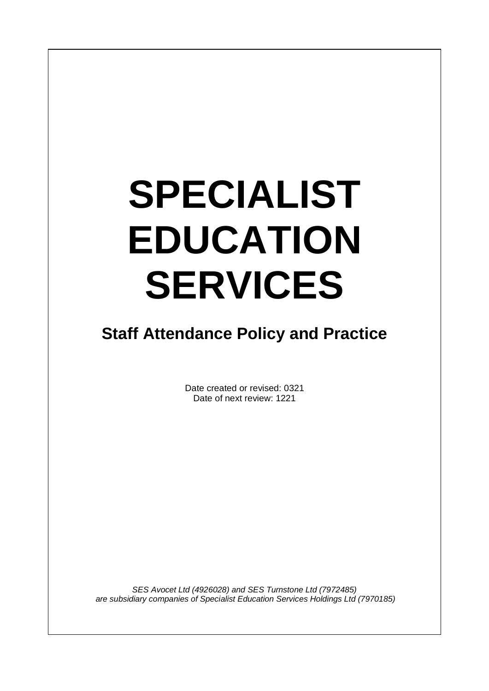# **SPECIALIST EDUCATION SERVICES**

 $\overline{\phantom{a}}$ 

# **Staff Attendance Policy and Practice**

Date created or revised: 0321 Date of next review: 1221

*SES Avocet Ltd (4926028) and SES Turnstone Ltd (7972485) are subsidiary companies of Specialist Education Services Holdings Ltd (7970185)*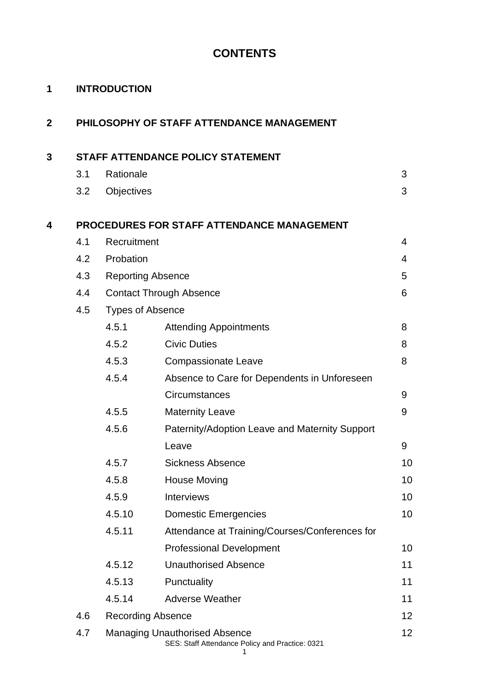# **CONTENTS**

| 1              |     | <b>INTRODUCTION</b>      |                                                   |                |
|----------------|-----|--------------------------|---------------------------------------------------|----------------|
| $\overline{2}$ |     |                          | PHILOSOPHY OF STAFF ATTENDANCE MANAGEMENT         |                |
| 3              |     |                          | STAFF ATTENDANCE POLICY STATEMENT                 |                |
|                | 3.1 | Rationale                |                                                   | 3              |
|                | 3.2 | Objectives               |                                                   | 3              |
| 4              |     |                          | <b>PROCEDURES FOR STAFF ATTENDANCE MANAGEMENT</b> |                |
|                | 4.1 | Recruitment              |                                                   | $\overline{4}$ |
|                | 4.2 | Probation                |                                                   | 4              |
|                | 4.3 | <b>Reporting Absence</b> |                                                   | 5              |
|                | 4.4 |                          | <b>Contact Through Absence</b>                    | 6              |
|                | 4.5 | <b>Types of Absence</b>  |                                                   |                |
|                |     | 4.5.1                    | <b>Attending Appointments</b>                     | 8              |
|                |     | 4.5.2                    | <b>Civic Duties</b>                               | 8              |
|                |     | 4.5.3                    | <b>Compassionate Leave</b>                        | 8              |
|                |     | 4.5.4                    | Absence to Care for Dependents in Unforeseen      |                |
|                |     |                          | Circumstances                                     | 9              |
|                |     | 4.5.5                    | <b>Maternity Leave</b>                            | 9              |
|                |     | 4.5.6                    | Paternity/Adoption Leave and Maternity Support    |                |
|                |     |                          | Leave                                             | 9              |
|                |     | 4.5.7                    | <b>Sickness Absence</b>                           | 10             |
|                |     | 4.5.8                    | House Moving                                      | 10             |
|                |     | 4.5.9                    | <b>Interviews</b>                                 | 10             |
|                |     | 4.5.10                   | <b>Domestic Emergencies</b>                       | 10             |
|                |     | 4.5.11                   | Attendance at Training/Courses/Conferences for    |                |
|                |     |                          | <b>Professional Development</b>                   | 10             |
|                |     | 4.5.12                   | <b>Unauthorised Absence</b>                       | 11             |
|                |     | 4.5.13                   | Punctuality                                       | 11             |
|                |     | 4.5.14                   | <b>Adverse Weather</b>                            | 11             |
|                | 4.6 | <b>Recording Absence</b> |                                                   |                |
|                | 4.7 |                          | <b>Managing Unauthorised Absence</b>              | 12             |

#### SES: Staff Attendance Policy and Practice: 0321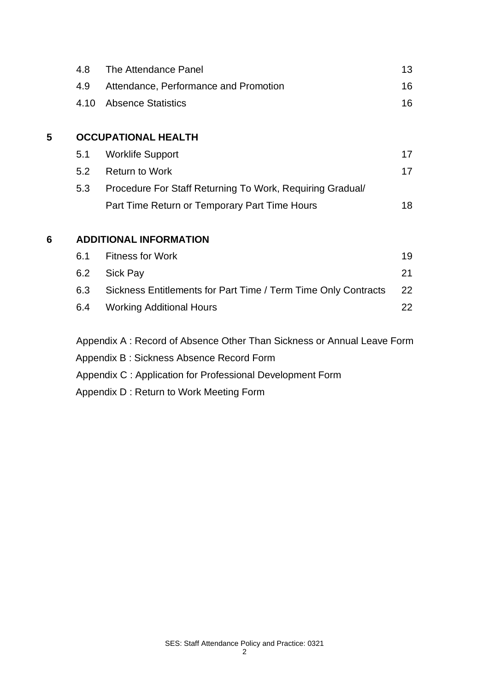|   | 4.8                                                       | The Attendance Panel                                                   | 13 |  |  |  |
|---|-----------------------------------------------------------|------------------------------------------------------------------------|----|--|--|--|
|   | 4.9                                                       | Attendance, Performance and Promotion                                  | 16 |  |  |  |
|   | 4.10                                                      | <b>Absence Statistics</b>                                              | 16 |  |  |  |
|   |                                                           |                                                                        |    |  |  |  |
| 5 |                                                           | <b>OCCUPATIONAL HEALTH</b>                                             |    |  |  |  |
|   | 5.1                                                       | <b>Worklife Support</b>                                                | 17 |  |  |  |
|   | 5.2                                                       | <b>Return to Work</b>                                                  | 17 |  |  |  |
|   | 5.3                                                       | Procedure For Staff Returning To Work, Requiring Gradual/              |    |  |  |  |
|   |                                                           | Part Time Return or Temporary Part Time Hours                          | 18 |  |  |  |
| 6 |                                                           | <b>ADDITIONAL INFORMATION</b>                                          |    |  |  |  |
|   | 6.1                                                       | <b>Fitness for Work</b>                                                | 19 |  |  |  |
|   | 6.2                                                       | Sick Pay                                                               | 21 |  |  |  |
|   | 6.3                                                       | Sickness Entitlements for Part Time / Term Time Only Contracts         | 22 |  |  |  |
|   | 6.4                                                       | <b>Working Additional Hours</b>                                        | 22 |  |  |  |
|   |                                                           | Appendix A: Record of Absence Other Than Sickness or Annual Leave Form |    |  |  |  |
|   |                                                           | Appendix B: Sickness Absence Record Form                               |    |  |  |  |
|   | Appendix C: Application for Professional Development Form |                                                                        |    |  |  |  |

Appendix D : Return to Work Meeting Form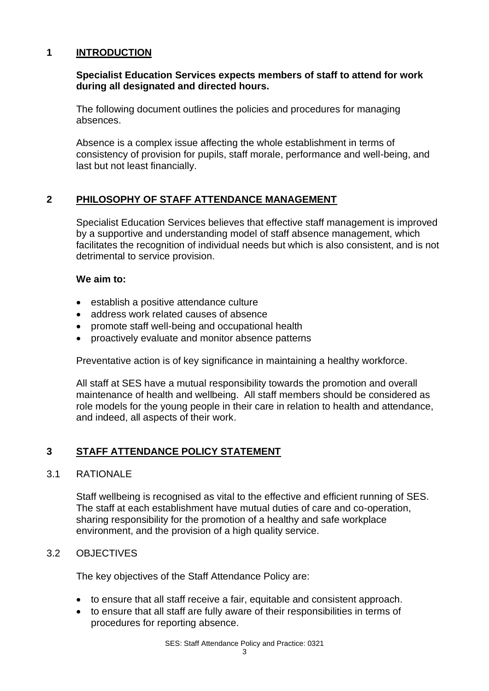## **1 INTRODUCTION**

## **Specialist Education Services expects members of staff to attend for work during all designated and directed hours.**

The following document outlines the policies and procedures for managing absences.

Absence is a complex issue affecting the whole establishment in terms of consistency of provision for pupils, staff morale, performance and well-being, and last but not least financially.

## **2 PHILOSOPHY OF STAFF ATTENDANCE MANAGEMENT**

Specialist Education Services believes that effective staff management is improved by a supportive and understanding model of staff absence management, which facilitates the recognition of individual needs but which is also consistent, and is not detrimental to service provision.

## **We aim to:**

- establish a positive attendance culture
- address work related causes of absence
- promote staff well-being and occupational health
- proactively evaluate and monitor absence patterns

Preventative action is of key significance in maintaining a healthy workforce.

All staff at SES have a mutual responsibility towards the promotion and overall maintenance of health and wellbeing. All staff members should be considered as role models for the young people in their care in relation to health and attendance, and indeed, all aspects of their work.

## **3 STAFF ATTENDANCE POLICY STATEMENT**

## 3.1 RATIONALE

Staff wellbeing is recognised as vital to the effective and efficient running of SES. The staff at each establishment have mutual duties of care and co-operation, sharing responsibility for the promotion of a healthy and safe workplace environment, and the provision of a high quality service.

## 3.2 OBJECTIVES

The key objectives of the Staff Attendance Policy are:

- to ensure that all staff receive a fair, equitable and consistent approach.
- to ensure that all staff are fully aware of their responsibilities in terms of procedures for reporting absence.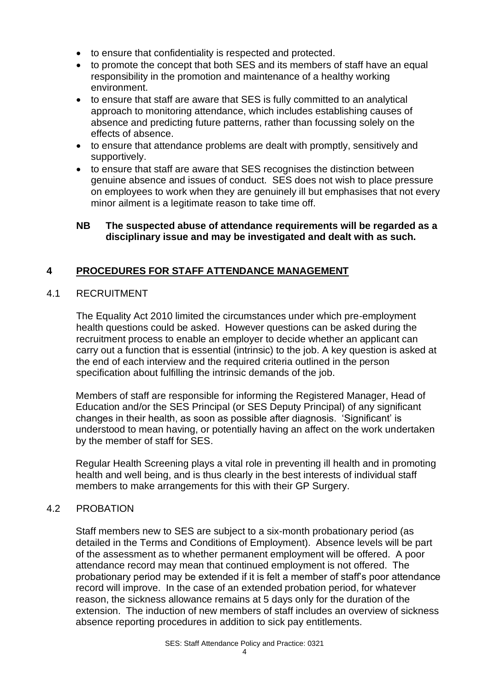- to ensure that confidentiality is respected and protected.
- to promote the concept that both SES and its members of staff have an equal responsibility in the promotion and maintenance of a healthy working environment.
- to ensure that staff are aware that SES is fully committed to an analytical approach to monitoring attendance, which includes establishing causes of absence and predicting future patterns, rather than focussing solely on the effects of absence.
- to ensure that attendance problems are dealt with promptly, sensitively and supportively.
- to ensure that staff are aware that SES recognises the distinction between genuine absence and issues of conduct. SES does not wish to place pressure on employees to work when they are genuinely ill but emphasises that not every minor ailment is a legitimate reason to take time off.

## **NB The suspected abuse of attendance requirements will be regarded as a disciplinary issue and may be investigated and dealt with as such.**

## **4 PROCEDURES FOR STAFF ATTENDANCE MANAGEMENT**

## 4.1 RECRUITMENT

The Equality Act 2010 limited the circumstances under which pre-employment health questions could be asked. However questions can be asked during the recruitment process to enable an employer to decide whether an applicant can carry out a function that is essential (intrinsic) to the job. A key question is asked at the end of each interview and the required criteria outlined in the person specification about fulfilling the intrinsic demands of the job.

Members of staff are responsible for informing the Registered Manager, Head of Education and/or the SES Principal (or SES Deputy Principal) of any significant changes in their health, as soon as possible after diagnosis. 'Significant' is understood to mean having, or potentially having an affect on the work undertaken by the member of staff for SES.

Regular Health Screening plays a vital role in preventing ill health and in promoting health and well being, and is thus clearly in the best interests of individual staff members to make arrangements for this with their GP Surgery.

## 4.2 PROBATION

Staff members new to SES are subject to a six-month probationary period (as detailed in the Terms and Conditions of Employment). Absence levels will be part of the assessment as to whether permanent employment will be offered. A poor attendance record may mean that continued employment is not offered. The probationary period may be extended if it is felt a member of staff's poor attendance record will improve. In the case of an extended probation period, for whatever reason, the sickness allowance remains at 5 days only for the duration of the extension. The induction of new members of staff includes an overview of sickness absence reporting procedures in addition to sick pay entitlements.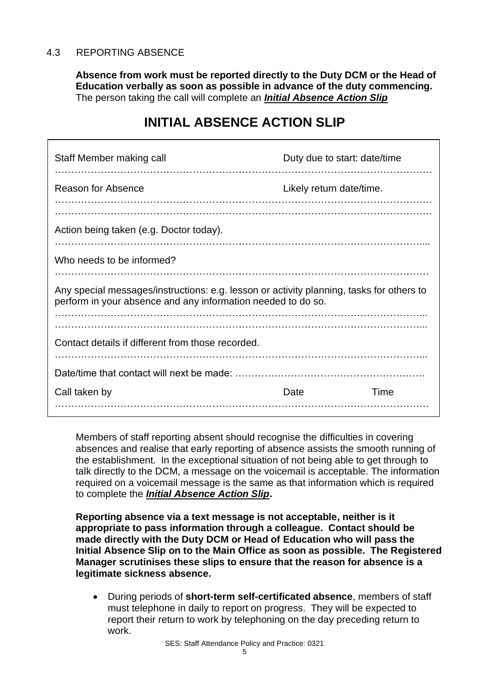## 4.3 REPORTING ABSENCE

**Absence from work must be reported directly to the Duty DCM or the Head of Education verbally as soon as possible in advance of the duty commencing.**  The person taking the call will complete an *Initial Absence Action Slip*

# **INITIAL ABSENCE ACTION SLIP**

| Staff Member making call                                                                                                                                 | Duty due to start: date/time |      |
|----------------------------------------------------------------------------------------------------------------------------------------------------------|------------------------------|------|
| Reason for Absence                                                                                                                                       | Likely return date/time.     |      |
| Action being taken (e.g. Doctor today).                                                                                                                  |                              |      |
| Who needs to be informed?                                                                                                                                |                              |      |
| Any special messages/instructions: e.g. lesson or activity planning, tasks for others to<br>perform in your absence and any information needed to do so. |                              |      |
|                                                                                                                                                          |                              |      |
| Contact details if different from those recorded.                                                                                                        |                              |      |
|                                                                                                                                                          |                              |      |
| Call taken by                                                                                                                                            | Date                         | Time |

Members of staff reporting absent should recognise the difficulties in covering absences and realise that early reporting of absence assists the smooth running of the establishment. In the exceptional situation of not being able to get through to talk directly to the DCM, a message on the voicemail is acceptable. The information required on a voicemail message is the same as that information which is required to complete the *Initial Absence Action Slip***.**

**Reporting absence via a text message is not acceptable, neither is it appropriate to pass information through a colleague. Contact should be made directly with the Duty DCM or Head of Education who will pass the Initial Absence Slip on to the Main Office as soon as possible. The Registered Manager scrutinises these slips to ensure that the reason for absence is a legitimate sickness absence.**

• During periods of **short-term self-certificated absence**, members of staff must telephone in daily to report on progress. They will be expected to report their return to work by telephoning on the day preceding return to work.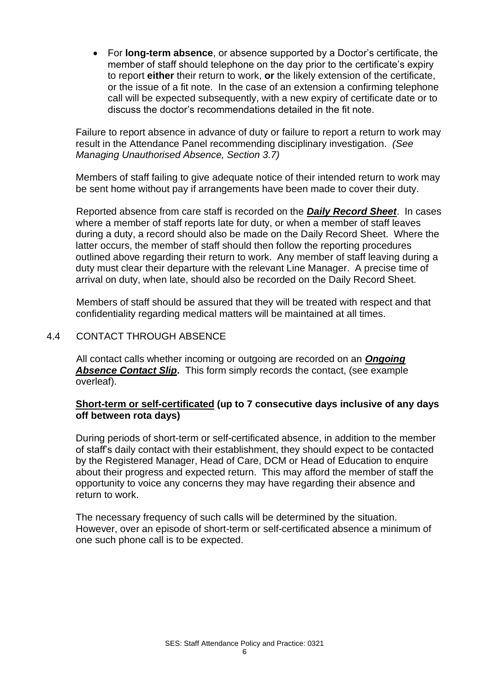• For **long-term absence**, or absence supported by a Doctor's certificate, the member of staff should telephone on the day prior to the certificate's expiry to report **either** their return to work, **or** the likely extension of the certificate, or the issue of a fit note. In the case of an extension a confirming telephone call will be expected subsequently, with a new expiry of certificate date or to discuss the doctor's recommendations detailed in the fit note.

Failure to report absence in advance of duty or failure to report a return to work may result in the Attendance Panel recommending disciplinary investigation. *(See Managing Unauthorised Absence, Section 3.7)*

Members of staff failing to give adequate notice of their intended return to work may be sent home without pay if arrangements have been made to cover their duty.

Reported absence from care staff is recorded on the *Daily Record Sheet*. In cases where a member of staff reports late for duty, or when a member of staff leaves during a duty, a record should also be made on the Daily Record Sheet. Where the latter occurs, the member of staff should then follow the reporting procedures outlined above regarding their return to work. Any member of staff leaving during a duty must clear their departure with the relevant Line Manager. A precise time of arrival on duty, when late, should also be recorded on the Daily Record Sheet.

Members of staff should be assured that they will be treated with respect and that confidentiality regarding medical matters will be maintained at all times.

## 4.4 CONTACT THROUGH ABSENCE

All contact calls whether incoming or outgoing are recorded on an *Ongoing Absence Contact Slip***.** This form simply records the contact, (see example overleaf).

## **Short-term or self-certificated (up to 7 consecutive days inclusive of any days off between rota days)**

During periods of short-term or self-certificated absence, in addition to the member of staff's daily contact with their establishment, they should expect to be contacted by the Registered Manager, Head of Care, DCM or Head of Education to enquire about their progress and expected return. This may afford the member of staff the opportunity to voice any concerns they may have regarding their absence and return to work.

The necessary frequency of such calls will be determined by the situation. However, over an episode of short-term or self-certificated absence a minimum of one such phone call is to be expected.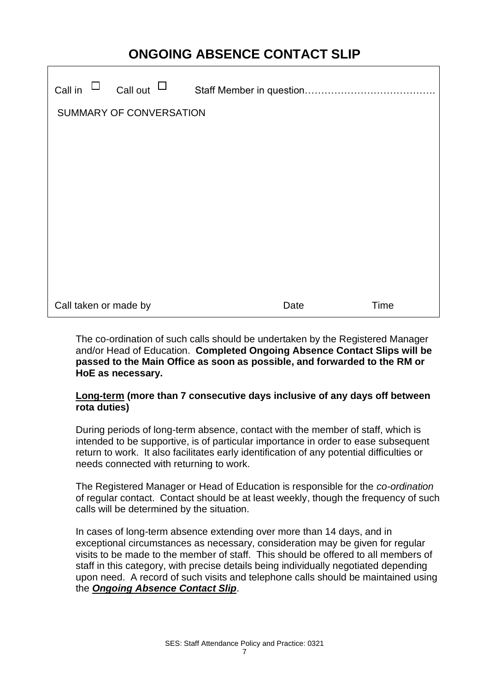# **ONGOING ABSENCE CONTACT SLIP**

| $\Box$<br>Call in       | Call out $\mathord{\sqcup}$ |  |      |      |
|-------------------------|-----------------------------|--|------|------|
| SUMMARY OF CONVERSATION |                             |  |      |      |
|                         |                             |  |      |      |
|                         |                             |  |      |      |
|                         |                             |  |      |      |
|                         |                             |  |      |      |
|                         |                             |  |      |      |
|                         |                             |  |      |      |
| Call taken or made by   |                             |  | Date | Time |

The co-ordination of such calls should be undertaken by the Registered Manager and/or Head of Education. **Completed Ongoing Absence Contact Slips will be passed to the Main Office as soon as possible, and forwarded to the RM or HoE as necessary.**

## **Long-term (more than 7 consecutive days inclusive of any days off between rota duties)**

During periods of long-term absence, contact with the member of staff, which is intended to be supportive, is of particular importance in order to ease subsequent return to work. It also facilitates early identification of any potential difficulties or needs connected with returning to work.

The Registered Manager or Head of Education is responsible for the *co-ordination* of regular contact. Contact should be at least weekly, though the frequency of such calls will be determined by the situation.

In cases of long-term absence extending over more than 14 days, and in exceptional circumstances as necessary, consideration may be given for regular visits to be made to the member of staff. This should be offered to all members of staff in this category, with precise details being individually negotiated depending upon need. A record of such visits and telephone calls should be maintained using the *Ongoing Absence Contact Slip*.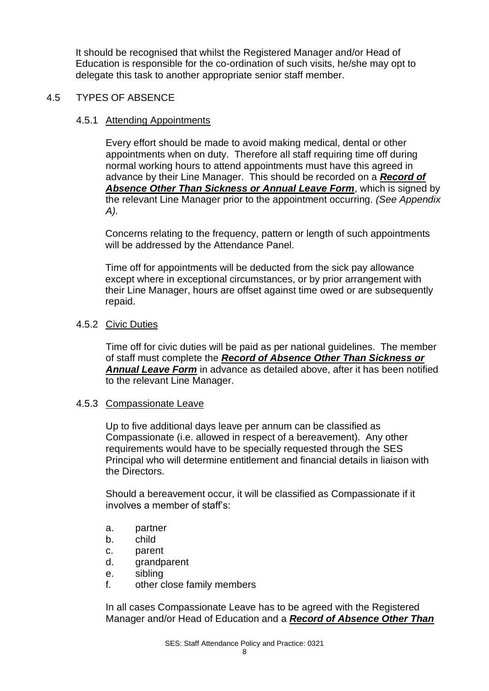It should be recognised that whilst the Registered Manager and/or Head of Education is responsible for the co-ordination of such visits, he/she may opt to delegate this task to another appropriate senior staff member.

## 4.5 TYPES OF ABSENCE

#### 4.5.1 Attending Appointments

Every effort should be made to avoid making medical, dental or other appointments when on duty. Therefore all staff requiring time off during normal working hours to attend appointments must have this agreed in advance by their Line Manager. This should be recorded on a *Record of Absence Other Than Sickness or Annual Leave Form*, which is signed by the relevant Line Manager prior to the appointment occurring. *(See Appendix A).*

Concerns relating to the frequency, pattern or length of such appointments will be addressed by the Attendance Panel.

Time off for appointments will be deducted from the sick pay allowance except where in exceptional circumstances, or by prior arrangement with their Line Manager, hours are offset against time owed or are subsequently repaid.

## 4.5.2 Civic Duties

Time off for civic duties will be paid as per national guidelines. The member of staff must complete the *Record of Absence Other Than Sickness or Annual Leave Form* in advance as detailed above, after it has been notified to the relevant Line Manager.

#### 4.5.3 Compassionate Leave

Up to five additional days leave per annum can be classified as Compassionate (i.e. allowed in respect of a bereavement). Any other requirements would have to be specially requested through the SES Principal who will determine entitlement and financial details in liaison with the Directors.

Should a bereavement occur, it will be classified as Compassionate if it involves a member of staff's:

- a. partner
- b. child
- c. parent
- d. grandparent
- e. sibling
- f. other close family members

In all cases Compassionate Leave has to be agreed with the Registered Manager and/or Head of Education and a *Record of Absence Other Than*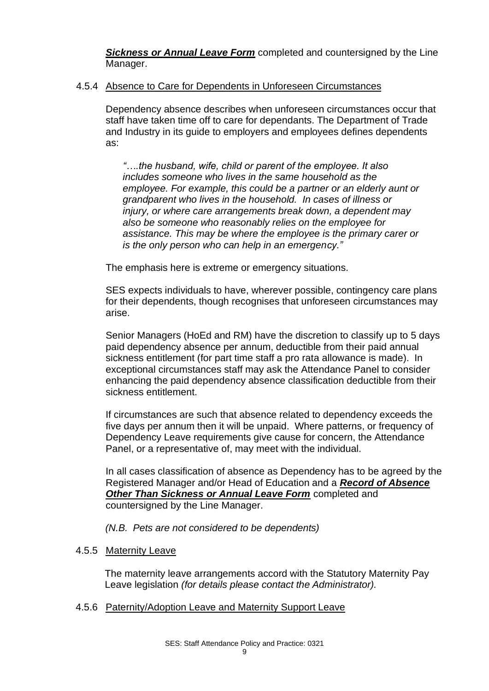*Sickness or Annual Leave Form* completed and countersigned by the Line Manager.

## 4.5.4 Absence to Care for Dependents in Unforeseen Circumstances

Dependency absence describes when unforeseen circumstances occur that staff have taken time off to care for dependants. The Department of Trade and Industry in its guide to employers and employees defines dependents as:

*"….the husband, wife, child or parent of the employee. It also includes someone who lives in the same household as the employee. For example, this could be a partner or an elderly aunt or grandparent who lives in the household. In cases of illness or injury, or where care arrangements break down, a dependent may also be someone who reasonably relies on the employee for assistance. This may be where the employee is the primary carer or is the only person who can help in an emergency."*

The emphasis here is extreme or emergency situations.

SES expects individuals to have, wherever possible, contingency care plans for their dependents, though recognises that unforeseen circumstances may arise.

Senior Managers (HoEd and RM) have the discretion to classify up to 5 days paid dependency absence per annum, deductible from their paid annual sickness entitlement (for part time staff a pro rata allowance is made). In exceptional circumstances staff may ask the Attendance Panel to consider enhancing the paid dependency absence classification deductible from their sickness entitlement.

If circumstances are such that absence related to dependency exceeds the five days per annum then it will be unpaid. Where patterns, or frequency of Dependency Leave requirements give cause for concern, the Attendance Panel, or a representative of, may meet with the individual.

In all cases classification of absence as Dependency has to be agreed by the Registered Manager and/or Head of Education and a *Record of Absence Other Than Sickness or Annual Leave Form* completed and countersigned by the Line Manager.

*(N.B. Pets are not considered to be dependents)*

#### 4.5.5 Maternity Leave

The maternity leave arrangements accord with the Statutory Maternity Pay Leave legislation *(for details please contact the Administrator).*

## 4.5.6 Paternity/Adoption Leave and Maternity Support Leave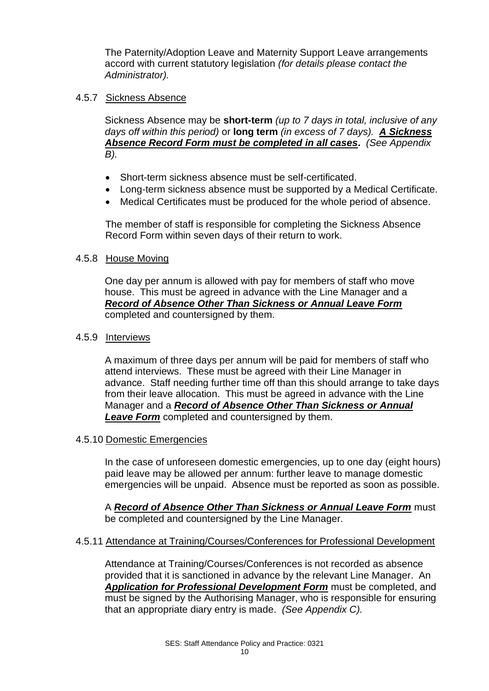The Paternity/Adoption Leave and Maternity Support Leave arrangements accord with current statutory legislation *(for details please contact the Administrator).*

## 4.5.7 Sickness Absence

Sickness Absence may be **short-term** *(up to 7 days in total, inclusive of any days off within this period)* or **long term** *(in excess of 7 days). A Sickness Absence Record Form must be completed in all cases. (See Appendix B).*

- Short-term sickness absence must be self-certificated.
- Long-term sickness absence must be supported by a Medical Certificate.
- Medical Certificates must be produced for the whole period of absence.

The member of staff is responsible for completing the Sickness Absence Record Form within seven days of their return to work.

## 4.5.8 House Moving

One day per annum is allowed with pay for members of staff who move house. This must be agreed in advance with the Line Manager and a *Record of Absence Other Than Sickness or Annual Leave Form* completed and countersigned by them.

## 4.5.9 Interviews

A maximum of three days per annum will be paid for members of staff who attend interviews. These must be agreed with their Line Manager in advance. Staff needing further time off than this should arrange to take days from their leave allocation. This must be agreed in advance with the Line Manager and a *Record of Absence Other Than Sickness or Annual Leave Form* completed and countersigned by them.

#### 4.5.10 Domestic Emergencies

In the case of unforeseen domestic emergencies, up to one day (eight hours) paid leave may be allowed per annum: further leave to manage domestic emergencies will be unpaid. Absence must be reported as soon as possible.

A *Record of Absence Other Than Sickness or Annual Leave Form* must be completed and countersigned by the Line Manager.

## 4.5.11 Attendance at Training/Courses/Conferences for Professional Development

Attendance at Training/Courses/Conferences is not recorded as absence provided that it is sanctioned in advance by the relevant Line Manager. An *Application for Professional Development Form* must be completed, and must be signed by the Authorising Manager, who is responsible for ensuring that an appropriate diary entry is made. *(See Appendix C).*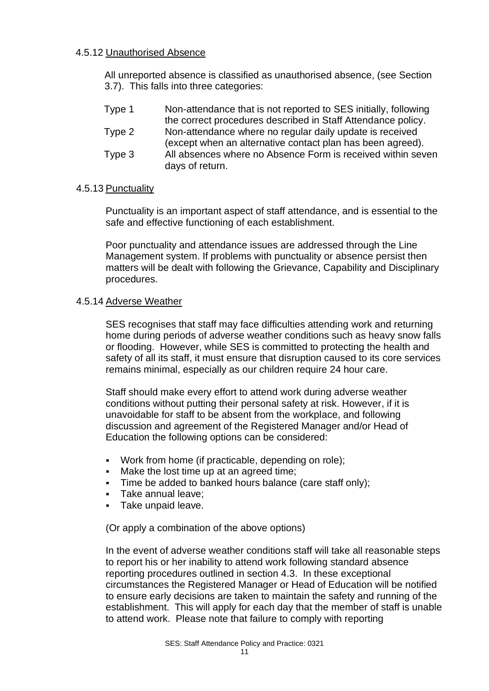## 4.5.12 Unauthorised Absence

All unreported absence is classified as unauthorised absence, (see Section 3.7). This falls into three categories:

| Type 1 | Non-attendance that is not reported to SES initially, following |
|--------|-----------------------------------------------------------------|
|        | the correct procedures described in Staff Attendance policy.    |
| Type 2 | Non-attendance where no regular daily update is received        |
|        | (except when an alternative contact plan has been agreed).      |
| Type 3 | All absences where no Absence Form is received within seven     |
|        | days of return.                                                 |

## 4.5.13 Punctuality

Punctuality is an important aspect of staff attendance, and is essential to the safe and effective functioning of each establishment.

Poor punctuality and attendance issues are addressed through the Line Management system. If problems with punctuality or absence persist then matters will be dealt with following the Grievance, Capability and Disciplinary procedures.

## 4.5.14 Adverse Weather

SES recognises that staff may face difficulties attending work and returning home during periods of adverse weather conditions such as heavy snow falls or flooding. However, while SES is committed to protecting the health and safety of all its staff, it must ensure that disruption caused to its core services remains minimal, especially as our children require 24 hour care.

Staff should make every effort to attend work during adverse weather conditions without putting their personal safety at risk. However, if it is unavoidable for staff to be absent from the workplace, and following discussion and agreement of the Registered Manager and/or Head of Education the following options can be considered:

- Work from home (if practicable, depending on role);
- Make the lost time up at an agreed time;
- Time be added to banked hours balance (care staff only);
- Take annual leave;
- Take unpaid leave.

(Or apply a combination of the above options)

In the event of adverse weather conditions staff will take all reasonable steps to report his or her inability to attend work following standard absence reporting procedures outlined in section 4.3. In these exceptional circumstances the Registered Manager or Head of Education will be notified to ensure early decisions are taken to maintain the safety and running of the establishment. This will apply for each day that the member of staff is unable to attend work. Please note that failure to comply with reporting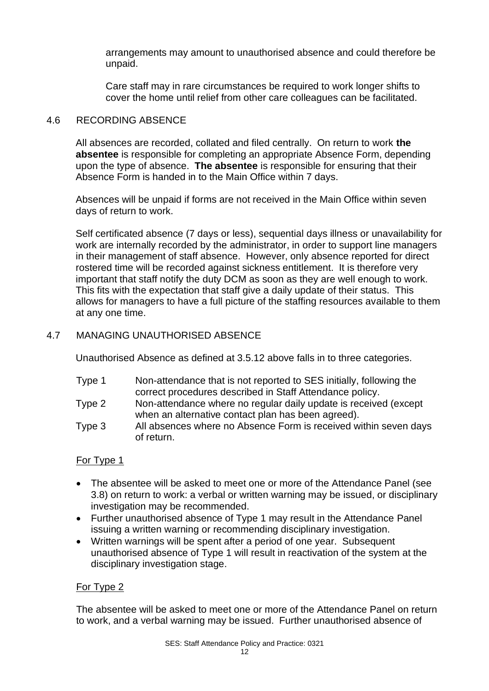arrangements may amount to unauthorised absence and could therefore be unpaid.

Care staff may in rare circumstances be required to work longer shifts to cover the home until relief from other care colleagues can be facilitated.

## 4.6 RECORDING ABSENCE

All absences are recorded, collated and filed centrally. On return to work **the absentee** is responsible for completing an appropriate Absence Form, depending upon the type of absence. **The absentee** is responsible for ensuring that their Absence Form is handed in to the Main Office within 7 days.

Absences will be unpaid if forms are not received in the Main Office within seven days of return to work.

Self certificated absence (7 days or less), sequential days illness or unavailability for work are internally recorded by the administrator, in order to support line managers in their management of staff absence. However, only absence reported for direct rostered time will be recorded against sickness entitlement. It is therefore very important that staff notify the duty DCM as soon as they are well enough to work. This fits with the expectation that staff give a daily update of their status. This allows for managers to have a full picture of the staffing resources available to them at any one time.

## 4.7 MANAGING UNAUTHORISED ABSENCE

Unauthorised Absence as defined at 3.5.12 above falls in to three categories.

- Type 1 Non-attendance that is not reported to SES initially, following the correct procedures described in Staff Attendance policy.
- Type 2 Non-attendance where no regular daily update is received (except when an alternative contact plan has been agreed).
- Type 3 All absences where no Absence Form is received within seven days of return.

## For Type 1

- The absentee will be asked to meet one or more of the Attendance Panel (see 3.8) on return to work: a verbal or written warning may be issued, or disciplinary investigation may be recommended.
- Further unauthorised absence of Type 1 may result in the Attendance Panel issuing a written warning or recommending disciplinary investigation.
- Written warnings will be spent after a period of one year. Subsequent unauthorised absence of Type 1 will result in reactivation of the system at the disciplinary investigation stage.

## For Type 2

The absentee will be asked to meet one or more of the Attendance Panel on return to work, and a verbal warning may be issued. Further unauthorised absence of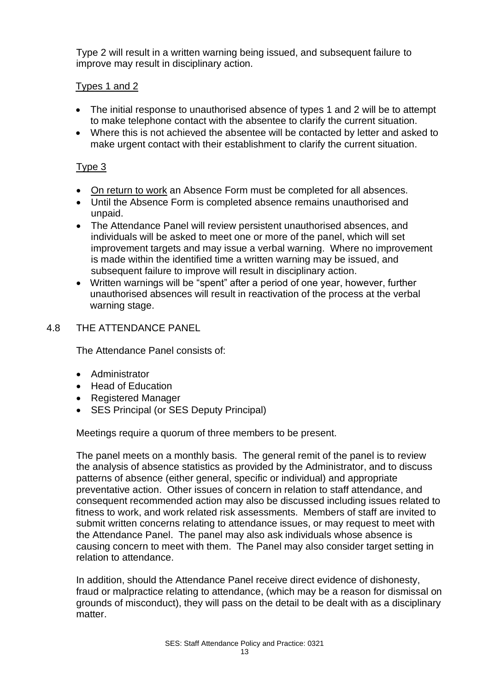Type 2 will result in a written warning being issued, and subsequent failure to improve may result in disciplinary action.

## Types 1 and 2

- The initial response to unauthorised absence of types 1 and 2 will be to attempt to make telephone contact with the absentee to clarify the current situation.
- Where this is not achieved the absentee will be contacted by letter and asked to make urgent contact with their establishment to clarify the current situation.

## Type 3

- On return to work an Absence Form must be completed for all absences.
- Until the Absence Form is completed absence remains unauthorised and unpaid.
- The Attendance Panel will review persistent unauthorised absences, and individuals will be asked to meet one or more of the panel, which will set improvement targets and may issue a verbal warning. Where no improvement is made within the identified time a written warning may be issued, and subsequent failure to improve will result in disciplinary action.
- Written warnings will be "spent" after a period of one year, however, further unauthorised absences will result in reactivation of the process at the verbal warning stage.

## 4.8 THE ATTENDANCE PANEL

The Attendance Panel consists of:

- Administrator
- Head of Education
- Registered Manager
- SES Principal (or SES Deputy Principal)

Meetings require a quorum of three members to be present.

The panel meets on a monthly basis. The general remit of the panel is to review the analysis of absence statistics as provided by the Administrator, and to discuss patterns of absence (either general, specific or individual) and appropriate preventative action. Other issues of concern in relation to staff attendance, and consequent recommended action may also be discussed including issues related to fitness to work, and work related risk assessments. Members of staff are invited to submit written concerns relating to attendance issues, or may request to meet with the Attendance Panel. The panel may also ask individuals whose absence is causing concern to meet with them. The Panel may also consider target setting in relation to attendance.

In addition, should the Attendance Panel receive direct evidence of dishonesty, fraud or malpractice relating to attendance, (which may be a reason for dismissal on grounds of misconduct), they will pass on the detail to be dealt with as a disciplinary matter.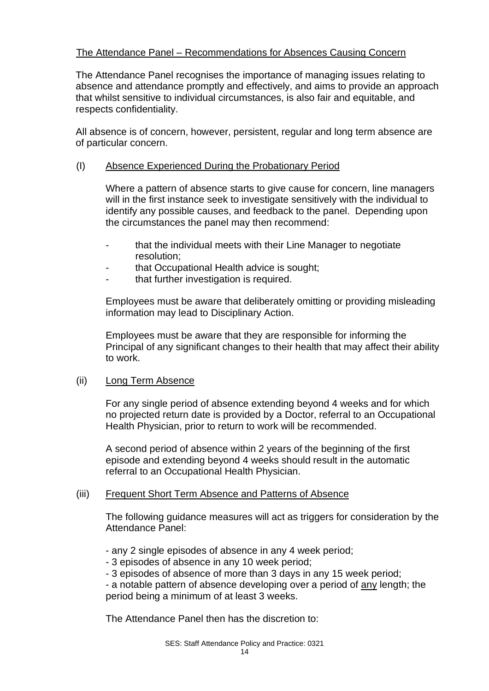## The Attendance Panel – Recommendations for Absences Causing Concern

The Attendance Panel recognises the importance of managing issues relating to absence and attendance promptly and effectively, and aims to provide an approach that whilst sensitive to individual circumstances, is also fair and equitable, and respects confidentiality.

All absence is of concern, however, persistent, regular and long term absence are of particular concern.

## (I) Absence Experienced During the Probationary Period

Where a pattern of absence starts to give cause for concern, line managers will in the first instance seek to investigate sensitively with the individual to identify any possible causes, and feedback to the panel. Depending upon the circumstances the panel may then recommend:

- that the individual meets with their Line Manager to negotiate resolution;
- that Occupational Health advice is sought;
- that further investigation is required.

Employees must be aware that deliberately omitting or providing misleading information may lead to Disciplinary Action.

Employees must be aware that they are responsible for informing the Principal of any significant changes to their health that may affect their ability to work.

## (ii) Long Term Absence

For any single period of absence extending beyond 4 weeks and for which no projected return date is provided by a Doctor, referral to an Occupational Health Physician, prior to return to work will be recommended.

A second period of absence within 2 years of the beginning of the first episode and extending beyond 4 weeks should result in the automatic referral to an Occupational Health Physician.

## (iii) Frequent Short Term Absence and Patterns of Absence

The following guidance measures will act as triggers for consideration by the Attendance Panel:

- any 2 single episodes of absence in any 4 week period;
- 3 episodes of absence in any 10 week period;
- 3 episodes of absence of more than 3 days in any 15 week period;

- a notable pattern of absence developing over a period of any length; the period being a minimum of at least 3 weeks.

The Attendance Panel then has the discretion to: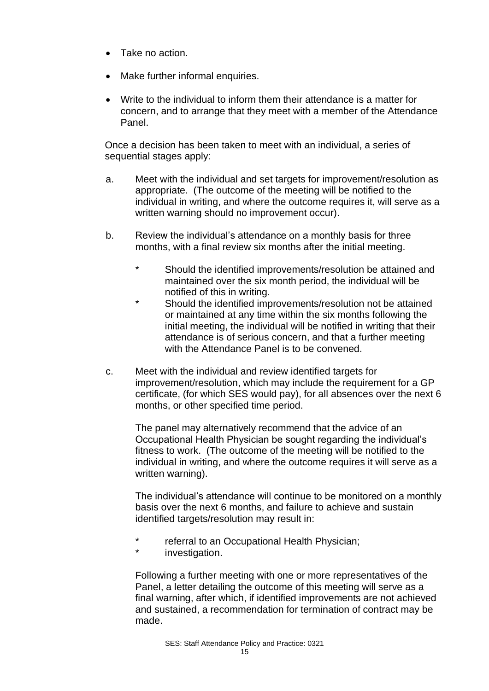- Take no action.
- Make further informal enquiries.
- Write to the individual to inform them their attendance is a matter for concern, and to arrange that they meet with a member of the Attendance Panel.

Once a decision has been taken to meet with an individual, a series of sequential stages apply:

- a. Meet with the individual and set targets for improvement/resolution as appropriate. (The outcome of the meeting will be notified to the individual in writing, and where the outcome requires it, will serve as a written warning should no improvement occur).
- b. Review the individual's attendance on a monthly basis for three months, with a final review six months after the initial meeting.
	- \* Should the identified improvements/resolution be attained and maintained over the six month period, the individual will be notified of this in writing.
	- Should the identified improvements/resolution not be attained or maintained at any time within the six months following the initial meeting, the individual will be notified in writing that their attendance is of serious concern, and that a further meeting with the Attendance Panel is to be convened.
- c. Meet with the individual and review identified targets for improvement/resolution, which may include the requirement for a GP certificate, (for which SES would pay), for all absences over the next 6 months, or other specified time period.

The panel may alternatively recommend that the advice of an Occupational Health Physician be sought regarding the individual's fitness to work. (The outcome of the meeting will be notified to the individual in writing, and where the outcome requires it will serve as a written warning).

The individual's attendance will continue to be monitored on a monthly basis over the next 6 months, and failure to achieve and sustain identified targets/resolution may result in:

- referral to an Occupational Health Physician;
- investigation.

Following a further meeting with one or more representatives of the Panel, a letter detailing the outcome of this meeting will serve as a final warning, after which, if identified improvements are not achieved and sustained, a recommendation for termination of contract may be made.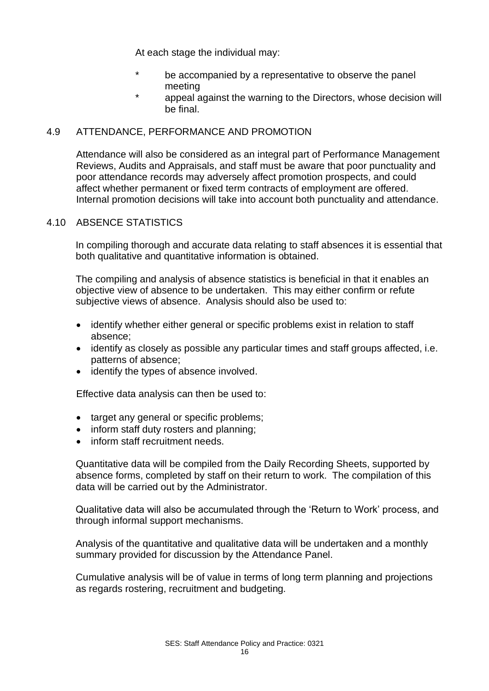At each stage the individual may:

- \* be accompanied by a representative to observe the panel meeting
- appeal against the warning to the Directors, whose decision will be final.

## 4.9 ATTENDANCE, PERFORMANCE AND PROMOTION

Attendance will also be considered as an integral part of Performance Management Reviews, Audits and Appraisals, and staff must be aware that poor punctuality and poor attendance records may adversely affect promotion prospects, and could affect whether permanent or fixed term contracts of employment are offered. Internal promotion decisions will take into account both punctuality and attendance.

## 4.10 ABSENCE STATISTICS

In compiling thorough and accurate data relating to staff absences it is essential that both qualitative and quantitative information is obtained.

The compiling and analysis of absence statistics is beneficial in that it enables an objective view of absence to be undertaken. This may either confirm or refute subjective views of absence. Analysis should also be used to:

- identify whether either general or specific problems exist in relation to staff absence;
- identify as closely as possible any particular times and staff groups affected, i.e. patterns of absence;
- identify the types of absence involved.

Effective data analysis can then be used to:

- target any general or specific problems;
- inform staff duty rosters and planning:
- inform staff recruitment needs.

Quantitative data will be compiled from the Daily Recording Sheets, supported by absence forms, completed by staff on their return to work. The compilation of this data will be carried out by the Administrator.

Qualitative data will also be accumulated through the 'Return to Work' process, and through informal support mechanisms.

Analysis of the quantitative and qualitative data will be undertaken and a monthly summary provided for discussion by the Attendance Panel.

Cumulative analysis will be of value in terms of long term planning and projections as regards rostering, recruitment and budgeting.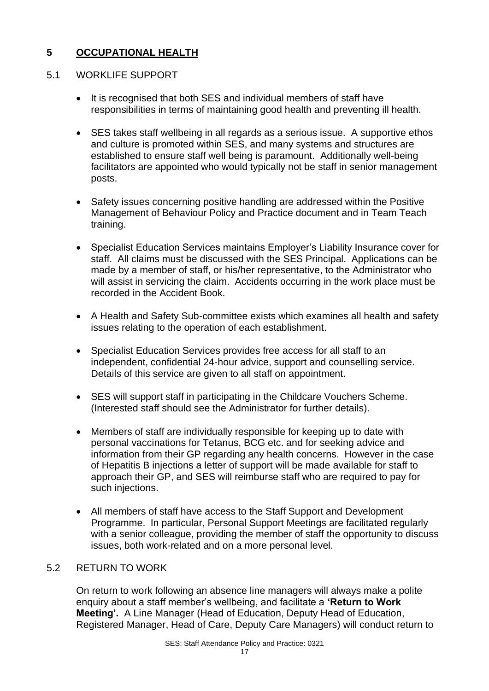## **5 OCCUPATIONAL HEALTH**

## 5.1 WORKLIFE SUPPORT

- It is recognised that both SES and individual members of staff have responsibilities in terms of maintaining good health and preventing ill health.
- SES takes staff wellbeing in all regards as a serious issue. A supportive ethos and culture is promoted within SES, and many systems and structures are established to ensure staff well being is paramount. Additionally well-being facilitators are appointed who would typically not be staff in senior management posts.
- Safety issues concerning positive handling are addressed within the Positive Management of Behaviour Policy and Practice document and in Team Teach training.
- Specialist Education Services maintains Employer's Liability Insurance cover for staff. All claims must be discussed with the SES Principal. Applications can be made by a member of staff, or his/her representative, to the Administrator who will assist in servicing the claim. Accidents occurring in the work place must be recorded in the Accident Book.
- A Health and Safety Sub-committee exists which examines all health and safety issues relating to the operation of each establishment.
- Specialist Education Services provides free access for all staff to an independent, confidential 24-hour advice, support and counselling service. Details of this service are given to all staff on appointment.
- SES will support staff in participating in the Childcare Vouchers Scheme. (Interested staff should see the Administrator for further details).
- Members of staff are individually responsible for keeping up to date with personal vaccinations for Tetanus, BCG etc. and for seeking advice and information from their GP regarding any health concerns. However in the case of Hepatitis B injections a letter of support will be made available for staff to approach their GP, and SES will reimburse staff who are required to pay for such injections.
- All members of staff have access to the Staff Support and Development Programme. In particular, Personal Support Meetings are facilitated regularly with a senior colleague, providing the member of staff the opportunity to discuss issues, both work-related and on a more personal level.

## 5.2 RETURN TO WORK

On return to work following an absence line managers will always make a polite enquiry about a staff member's wellbeing, and facilitate a **'Return to Work Meeting'.** A Line Manager (Head of Education, Deputy Head of Education, Registered Manager, Head of Care, Deputy Care Managers) will conduct return to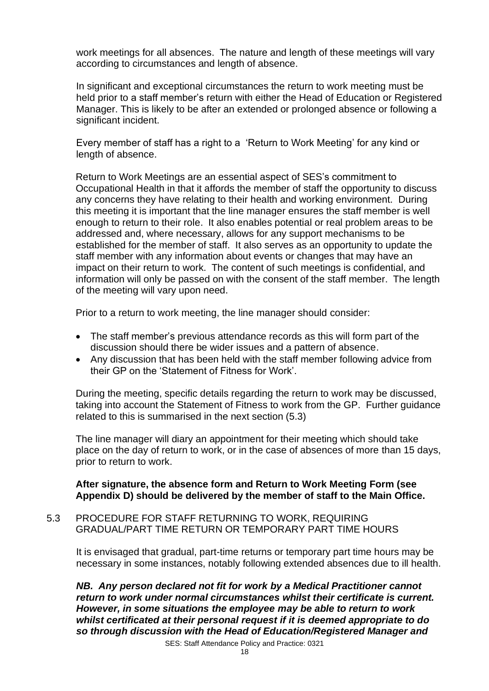work meetings for all absences. The nature and length of these meetings will vary according to circumstances and length of absence.

In significant and exceptional circumstances the return to work meeting must be held prior to a staff member's return with either the Head of Education or Registered Manager. This is likely to be after an extended or prolonged absence or following a significant incident.

Every member of staff has a right to a 'Return to Work Meeting' for any kind or length of absence.

Return to Work Meetings are an essential aspect of SES's commitment to Occupational Health in that it affords the member of staff the opportunity to discuss any concerns they have relating to their health and working environment. During this meeting it is important that the line manager ensures the staff member is well enough to return to their role. It also enables potential or real problem areas to be addressed and, where necessary, allows for any support mechanisms to be established for the member of staff. It also serves as an opportunity to update the staff member with any information about events or changes that may have an impact on their return to work. The content of such meetings is confidential, and information will only be passed on with the consent of the staff member. The length of the meeting will vary upon need.

Prior to a return to work meeting, the line manager should consider:

- The staff member's previous attendance records as this will form part of the discussion should there be wider issues and a pattern of absence.
- Any discussion that has been held with the staff member following advice from their GP on the 'Statement of Fitness for Work'.

During the meeting, specific details regarding the return to work may be discussed, taking into account the Statement of Fitness to work from the GP. Further guidance related to this is summarised in the next section (5.3)

The line manager will diary an appointment for their meeting which should take place on the day of return to work, or in the case of absences of more than 15 days, prior to return to work.

## **After signature, the absence form and Return to Work Meeting Form (see Appendix D) should be delivered by the member of staff to the Main Office.**

5.3 PROCEDURE FOR STAFF RETURNING TO WORK, REQUIRING GRADUAL/PART TIME RETURN OR TEMPORARY PART TIME HOURS

It is envisaged that gradual, part-time returns or temporary part time hours may be necessary in some instances, notably following extended absences due to ill health.

*NB. Any person declared not fit for work by a Medical Practitioner cannot return to work under normal circumstances whilst their certificate is current. However, in some situations the employee may be able to return to work whilst certificated at their personal request if it is deemed appropriate to do so through discussion with the Head of Education/Registered Manager and*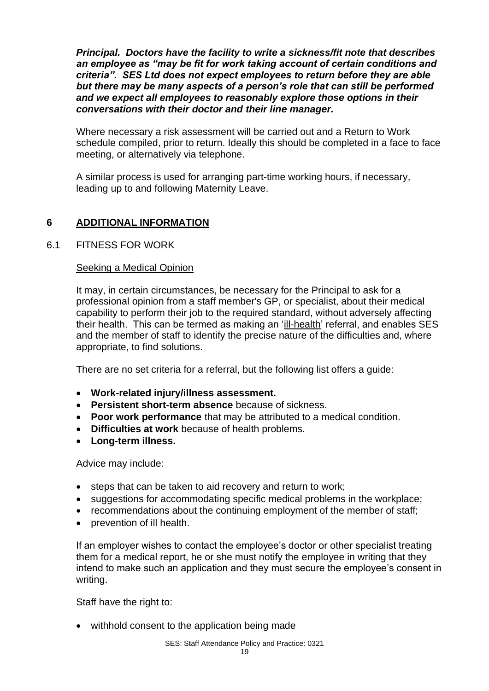*Principal. Doctors have the facility to write a sickness/fit note that describes an employee as "may be fit for work taking account of certain conditions and criteria". SES Ltd does not expect employees to return before they are able but there may be many aspects of a person's role that can still be performed and we expect all employees to reasonably explore those options in their conversations with their doctor and their line manager.*

Where necessary a risk assessment will be carried out and a Return to Work schedule compiled, prior to return. Ideally this should be completed in a face to face meeting, or alternatively via telephone.

A similar process is used for arranging part-time working hours, if necessary, leading up to and following Maternity Leave.

## **6 ADDITIONAL INFORMATION**

## 6.1 FITNESS FOR WORK

## Seeking a Medical Opinion

It may, in certain circumstances, be necessary for the Principal to ask for a professional opinion from a staff member's GP, or specialist, about their medical capability to perform their job to the required standard, without adversely affecting their health. This can be termed as making an 'ill-health' referral, and enables SES and the member of staff to identify the precise nature of the difficulties and, where appropriate, to find solutions.

There are no set criteria for a referral, but the following list offers a guide:

- **Work-related injury/illness assessment.**
- **Persistent short-term absence** because of sickness.
- **Poor work performance** that may be attributed to a medical condition.
- **Difficulties at work** because of health problems.
- **Long-term illness.**

Advice may include:

- steps that can be taken to aid recovery and return to work;
- suggestions for accommodating specific medical problems in the workplace;
- recommendations about the continuing employment of the member of staff;
- prevention of ill health.

If an employer wishes to contact the employee's doctor or other specialist treating them for a medical report, he or she must notify the employee in writing that they intend to make such an application and they must secure the employee's consent in writing.

Staff have the right to:

• withhold consent to the application being made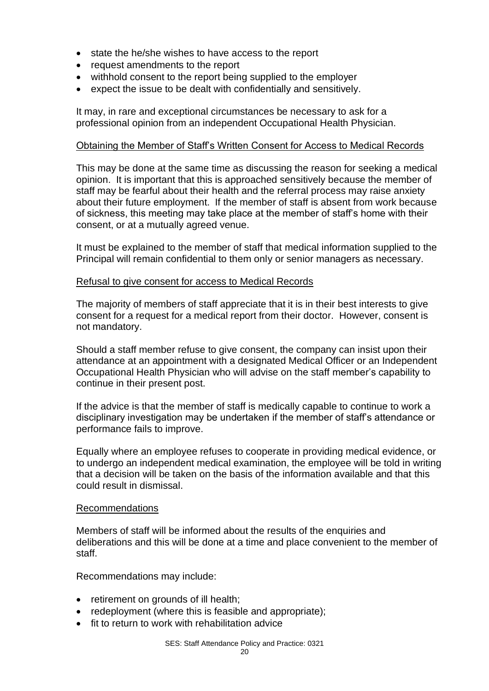- state the he/she wishes to have access to the report
- request amendments to the report
- withhold consent to the report being supplied to the employer
- expect the issue to be dealt with confidentially and sensitively.

It may, in rare and exceptional circumstances be necessary to ask for a professional opinion from an independent Occupational Health Physician.

#### Obtaining the Member of Staff's Written Consent for Access to Medical Records

This may be done at the same time as discussing the reason for seeking a medical opinion. It is important that this is approached sensitively because the member of staff may be fearful about their health and the referral process may raise anxiety about their future employment. If the member of staff is absent from work because of sickness, this meeting may take place at the member of staff's home with their consent, or at a mutually agreed venue.

It must be explained to the member of staff that medical information supplied to the Principal will remain confidential to them only or senior managers as necessary.

## Refusal to give consent for access to Medical Records

The majority of members of staff appreciate that it is in their best interests to give consent for a request for a medical report from their doctor. However, consent is not mandatory.

Should a staff member refuse to give consent, the company can insist upon their attendance at an appointment with a designated Medical Officer or an Independent Occupational Health Physician who will advise on the staff member's capability to continue in their present post.

If the advice is that the member of staff is medically capable to continue to work a disciplinary investigation may be undertaken if the member of staff's attendance or performance fails to improve.

Equally where an employee refuses to cooperate in providing medical evidence, or to undergo an independent medical examination, the employee will be told in writing that a decision will be taken on the basis of the information available and that this could result in dismissal.

#### Recommendations

Members of staff will be informed about the results of the enquiries and deliberations and this will be done at a time and place convenient to the member of staff.

Recommendations may include:

- retirement on grounds of ill health;
- redeployment (where this is feasible and appropriate):
- fit to return to work with rehabilitation advice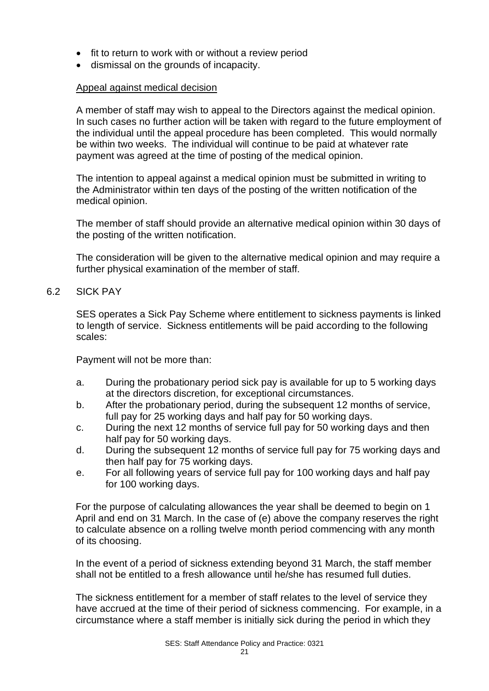- fit to return to work with or without a review period
- dismissal on the grounds of incapacity.

#### Appeal against medical decision

A member of staff may wish to appeal to the Directors against the medical opinion. In such cases no further action will be taken with regard to the future employment of the individual until the appeal procedure has been completed. This would normally be within two weeks. The individual will continue to be paid at whatever rate payment was agreed at the time of posting of the medical opinion.

The intention to appeal against a medical opinion must be submitted in writing to the Administrator within ten days of the posting of the written notification of the medical opinion.

The member of staff should provide an alternative medical opinion within 30 days of the posting of the written notification.

The consideration will be given to the alternative medical opinion and may require a further physical examination of the member of staff.

6.2 SICK PAY

SES operates a Sick Pay Scheme where entitlement to sickness payments is linked to length of service. Sickness entitlements will be paid according to the following scales:

Payment will not be more than:

- a. During the probationary period sick pay is available for up to 5 working days at the directors discretion, for exceptional circumstances.
- b. After the probationary period, during the subsequent 12 months of service, full pay for 25 working days and half pay for 50 working days.
- c. During the next 12 months of service full pay for 50 working days and then half pay for 50 working days.
- d. During the subsequent 12 months of service full pay for 75 working days and then half pay for 75 working days.
- e. For all following years of service full pay for 100 working days and half pay for 100 working days.

For the purpose of calculating allowances the year shall be deemed to begin on 1 April and end on 31 March. In the case of (e) above the company reserves the right to calculate absence on a rolling twelve month period commencing with any month of its choosing.

In the event of a period of sickness extending beyond 31 March, the staff member shall not be entitled to a fresh allowance until he/she has resumed full duties.

The sickness entitlement for a member of staff relates to the level of service they have accrued at the time of their period of sickness commencing. For example, in a circumstance where a staff member is initially sick during the period in which they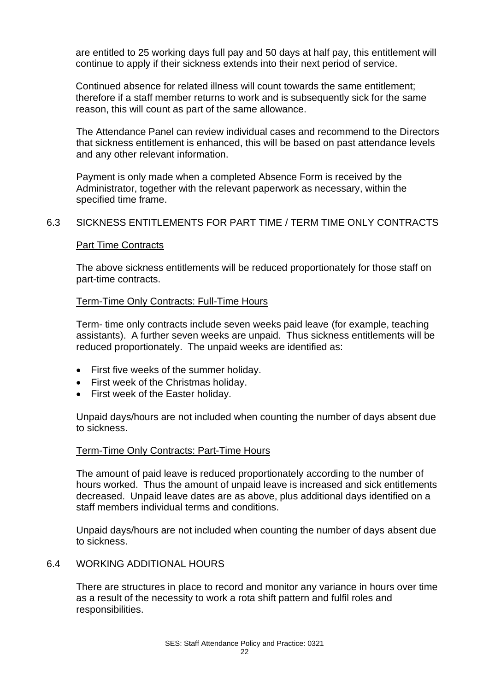are entitled to 25 working days full pay and 50 days at half pay, this entitlement will continue to apply if their sickness extends into their next period of service.

Continued absence for related illness will count towards the same entitlement; therefore if a staff member returns to work and is subsequently sick for the same reason, this will count as part of the same allowance.

The Attendance Panel can review individual cases and recommend to the Directors that sickness entitlement is enhanced, this will be based on past attendance levels and any other relevant information.

Payment is only made when a completed Absence Form is received by the Administrator, together with the relevant paperwork as necessary, within the specified time frame.

## 6.3 SICKNESS ENTITLEMENTS FOR PART TIME / TERM TIME ONLY CONTRACTS

#### Part Time Contracts

The above sickness entitlements will be reduced proportionately for those staff on part-time contracts.

## Term-Time Only Contracts: Full-Time Hours

Term- time only contracts include seven weeks paid leave (for example, teaching assistants). A further seven weeks are unpaid. Thus sickness entitlements will be reduced proportionately. The unpaid weeks are identified as:

- First five weeks of the summer holiday.
- First week of the Christmas holiday.
- First week of the Easter holiday.

Unpaid days/hours are not included when counting the number of days absent due to sickness.

## Term-Time Only Contracts: Part-Time Hours

The amount of paid leave is reduced proportionately according to the number of hours worked. Thus the amount of unpaid leave is increased and sick entitlements decreased. Unpaid leave dates are as above, plus additional days identified on a staff members individual terms and conditions.

Unpaid days/hours are not included when counting the number of days absent due to sickness.

## 6.4 WORKING ADDITIONAL HOURS

There are structures in place to record and monitor any variance in hours over time as a result of the necessity to work a rota shift pattern and fulfil roles and responsibilities.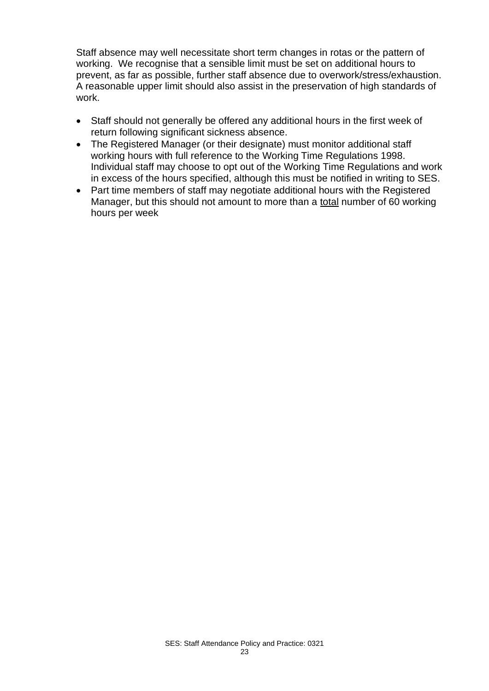Staff absence may well necessitate short term changes in rotas or the pattern of working. We recognise that a sensible limit must be set on additional hours to prevent, as far as possible, further staff absence due to overwork/stress/exhaustion. A reasonable upper limit should also assist in the preservation of high standards of work.

- Staff should not generally be offered any additional hours in the first week of return following significant sickness absence.
- The Registered Manager (or their designate) must monitor additional staff working hours with full reference to the Working Time Regulations 1998. Individual staff may choose to opt out of the Working Time Regulations and work in excess of the hours specified, although this must be notified in writing to SES.
- Part time members of staff may negotiate additional hours with the Registered Manager, but this should not amount to more than a total number of 60 working hours per week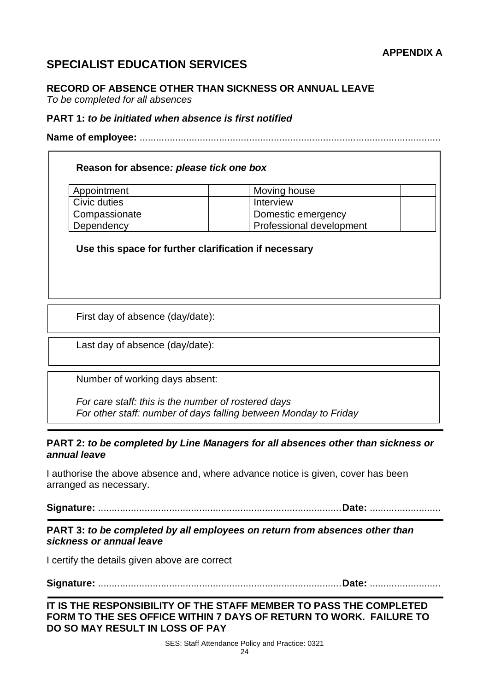## **SPECIALIST EDUCATION SERVICES**

## **RECORD OF ABSENCE OTHER THAN SICKNESS OR ANNUAL LEAVE**

*To be completed for all absences*

#### **PART 1:** *to be initiated when absence is first notified*

**Name of employee:** ..............................................................................................................

## **Reason for absence***: please tick one box*

| Appointment   | Moving house             |  |
|---------------|--------------------------|--|
| Civic duties  | Interview                |  |
| Compassionate | Domestic emergency       |  |
| Dependency    | Professional development |  |

**Use this space for further clarification if necessary**

First day of absence (day/date):

Last day of absence (day/date):

Number of working days absent:

*For care staff: this is the number of rostered days For other staff: number of days falling between Monday to Friday*

## **PART 2:** *to be completed by Line Managers for all absences other than sickness or annual leave*

I authorise the above absence and, where advance notice is given, cover has been arranged as necessary.

**Signature:** .........................................................................................**Date:** ..........................

## **PART 3:** *to be completed by all employees on return from absences other than sickness or annual leave*

I certify the details given above are correct

**Signature:** .........................................................................................**Date:** ..........................

## **IT IS THE RESPONSIBILITY OF THE STAFF MEMBER TO PASS THE COMPLETED FORM TO THE SES OFFICE WITHIN 7 DAYS OF RETURN TO WORK. FAILURE TO DO SO MAY RESULT IN LOSS OF PAY**

SES: Staff Attendance Policy and Practice: 0321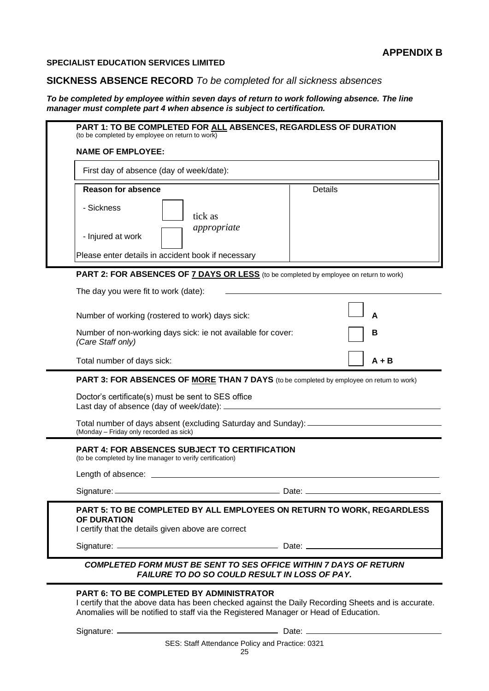**SPECIALIST EDUCATION SERVICES LIMITED**

## **SICKNESS ABSENCE RECORD** *To be completed for all sickness absences*

*To be completed by employee within seven days of return to work following absence. The line manager must complete part 4 when absence is subject to certification.*

| PART 1: TO BE COMPLETED FOR ALL ABSENCES, REGARDLESS OF DURATION<br>(to be completed by employee on return to work)                                                                                                                           |                |  |  |
|-----------------------------------------------------------------------------------------------------------------------------------------------------------------------------------------------------------------------------------------------|----------------|--|--|
| <b>NAME OF EMPLOYEE:</b>                                                                                                                                                                                                                      |                |  |  |
| First day of absence (day of week/date):                                                                                                                                                                                                      |                |  |  |
| <b>Reason for absence</b>                                                                                                                                                                                                                     | <b>Details</b> |  |  |
| - Sickness<br>tick as                                                                                                                                                                                                                         |                |  |  |
| appropriate<br>- Injured at work                                                                                                                                                                                                              |                |  |  |
| Please enter details in accident book if necessary                                                                                                                                                                                            |                |  |  |
| <b>PART 2: FOR ABSENCES OF 7 DAYS OR LESS</b> (to be completed by employee on return to work)                                                                                                                                                 |                |  |  |
| The day you were fit to work (date):                                                                                                                                                                                                          |                |  |  |
| Number of working (rostered to work) days sick:                                                                                                                                                                                               |                |  |  |
| Number of non-working days sick: ie not available for cover:<br>(Care Staff only)                                                                                                                                                             | в              |  |  |
| Total number of days sick:                                                                                                                                                                                                                    | A + B          |  |  |
| <b>PART 3: FOR ABSENCES OF MORE THAN 7 DAYS</b> (to be completed by employee on return to work)                                                                                                                                               |                |  |  |
| Doctor's certificate(s) must be sent to SES office<br>Last day of absence (day of week/date): _                                                                                                                                               |                |  |  |
| Total number of days absent (excluding Saturday and Sunday): ______<br>(Monday - Friday only recorded as sick)                                                                                                                                |                |  |  |
| <b>PART 4: FOR ABSENCES SUBJECT TO CERTIFICATION</b><br>(to be completed by line manager to verify certification)                                                                                                                             |                |  |  |
| Length of absence:                                                                                                                                                                                                                            |                |  |  |
|                                                                                                                                                                                                                                               |                |  |  |
| PART 5: TO BE COMPLETED BY ALL EMPLOYEES ON RETURN TO WORK, REGARDLESS<br><b>OF DURATION</b><br>I certify that the details given above are correct                                                                                            |                |  |  |
|                                                                                                                                                                                                                                               |                |  |  |
| <b>COMPLETED FORM MUST BE SENT TO SES OFFICE WITHIN 7 DAYS OF RETURN</b><br>FAILURE TO DO SO COULD RESULT IN LOSS OF PAY.                                                                                                                     |                |  |  |
| <b>PART 6: TO BE COMPLETED BY ADMINISTRATOR</b><br>I certify that the above data has been checked against the Daily Recording Sheets and is accurate.<br>Anomalies will be notified to staff via the Registered Manager or Head of Education. |                |  |  |
|                                                                                                                                                                                                                                               | Date: $\_\_$   |  |  |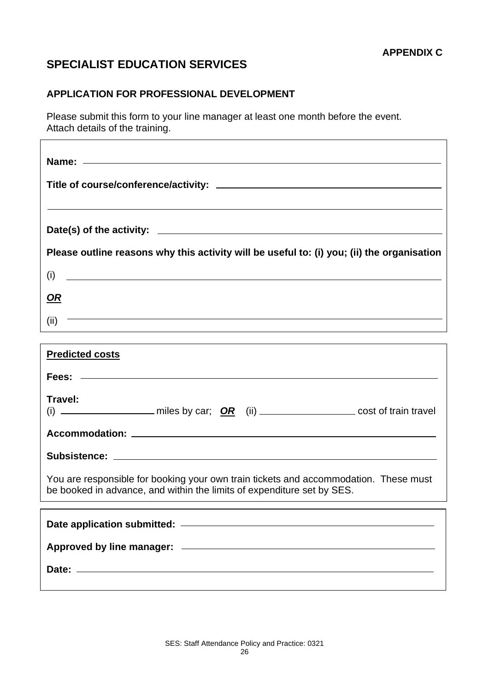## **SPECIALIST EDUCATION SERVICES**

## **APPLICATION FOR PROFESSIONAL DEVELOPMENT**

Please submit this form to your line manager at least one month before the event. Attach details of the training.

| Please outline reasons why this activity will be useful to: (i) you; (ii) the organisation                                                                     |
|----------------------------------------------------------------------------------------------------------------------------------------------------------------|
| $(i)$ $\qquad \qquad$                                                                                                                                          |
| <u>OR</u>                                                                                                                                                      |
| $(ii)$ -                                                                                                                                                       |
|                                                                                                                                                                |
| <b>Predicted costs</b>                                                                                                                                         |
| Fees: ————————————————————                                                                                                                                     |
| Travel:<br>(i) $\overline{\phantom{a}}$ miles by car; $\overline{OR}$ (ii) $\overline{\phantom{aa}}$ cost of train travel                                      |
|                                                                                                                                                                |
|                                                                                                                                                                |
| You are responsible for booking your own train tickets and accommodation. These must<br>be booked in advance, and within the limits of expenditure set by SES. |
|                                                                                                                                                                |
|                                                                                                                                                                |
| Approved by line manager: example and approved by line manager:                                                                                                |
|                                                                                                                                                                |
|                                                                                                                                                                |